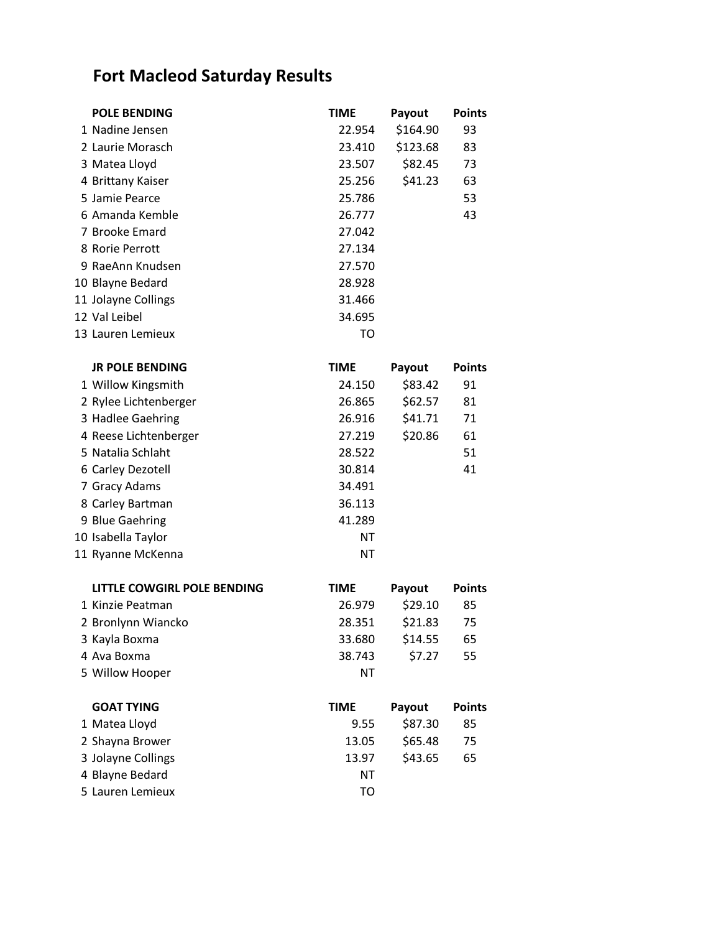## **Fort Macleod Saturday Results**

| <b>POLE BENDING</b> | <b>TIME</b> | Payout   | <b>Points</b> |
|---------------------|-------------|----------|---------------|
| 1 Nadine Jensen     | 22.954      | \$164.90 | 93            |
| 2 Laurie Morasch    | 23.410      | \$123.68 | 83            |
| 3 Matea Lloyd       | 23.507      | \$82.45  | 73            |
| 4 Brittany Kaiser   | 25.256      | \$41.23  | 63            |
| 5 Jamie Pearce      | 25.786      |          | 53            |
| 6 Amanda Kemble     | 26.777      |          | 43            |
| 7 Brooke Emard      | 27.042      |          |               |
| 8 Rorie Perrott     | 27.134      |          |               |
| 9 RaeAnn Knudsen    | 27.570      |          |               |
| 10 Blayne Bedard    | 28.928      |          |               |
| 11 Jolayne Collings | 31.466      |          |               |
| 12 Val Leibel       | 34.695      |          |               |
| 13 Lauren Lemieux   | TO          |          |               |
|                     |             |          |               |

| <b>JR POLE BENDING</b> | <b>TIME</b> | Payout  | <b>Points</b> |
|------------------------|-------------|---------|---------------|
| 1 Willow Kingsmith     | 24.150      | \$83.42 | 91            |
| 2 Rylee Lichtenberger  | 26.865      | \$62.57 | 81            |
| 3 Hadlee Gaehring      | 26.916      | \$41.71 | 71            |
| 4 Reese Lichtenberger  | 27.219      | \$20.86 | 61            |
| 5 Natalia Schlaht      | 28.522      |         | 51            |
| 6 Carley Dezotell      | 30.814      |         | 41            |
| 7 Gracy Adams          | 34.491      |         |               |
| 8 Carley Bartman       | 36.113      |         |               |
| 9 Blue Gaehring        | 41.289      |         |               |
| 10 Isabella Taylor     | ΝT          |         |               |
| 11 Ryanne McKenna      | ΝT          |         |               |

| LITTLE COWGIRL POLE BENDING | <b>TIME</b> | Payout  | <b>Points</b> |
|-----------------------------|-------------|---------|---------------|
| 1 Kinzie Peatman            | 26.979      | \$29.10 | 85            |
| 2 Bronlynn Wiancko          | 28.351      | \$21.83 | 75            |
| 3 Kayla Boxma               | 33.680      | \$14.55 | 65            |
| 4 Ava Boxma                 | 38.743      | \$7.27  | 55            |
| 5 Willow Hooper             | ΝT          |         |               |
|                             |             |         |               |
|                             |             |         |               |
| <b>GOAT TYING</b>           | <b>TIME</b> | Payout  | <b>Points</b> |
| 1 Matea Lloyd               | 9.55        | \$87.30 | 85            |
| 2 Shayna Brower             | 13.05       | \$65.48 | 75            |
| 3 Jolayne Collings          | 13.97       | \$43.65 | 65            |
| 4 Blayne Bedard             | ΝT          |         |               |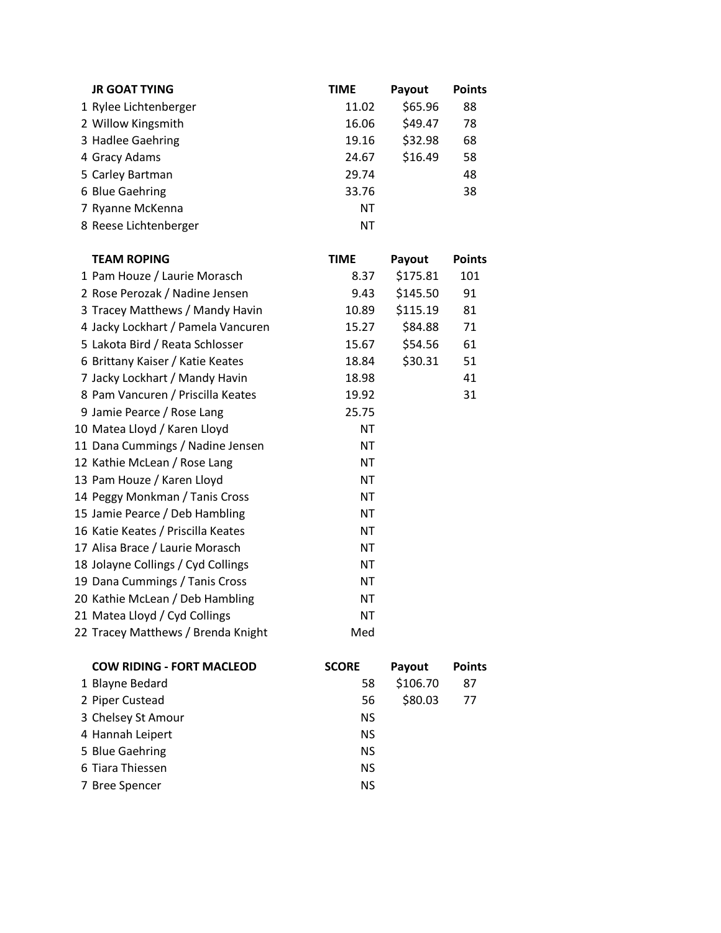| <b>JR GOAT TYING</b>               | <b>TIME</b>  | Payout   | <b>Points</b> |
|------------------------------------|--------------|----------|---------------|
| 1 Rylee Lichtenberger              | 11.02        | \$65.96  | 88            |
| 2 Willow Kingsmith                 | 16.06        | \$49.47  | 78            |
| 3 Hadlee Gaehring                  | 19.16        | \$32.98  | 68            |
| 4 Gracy Adams                      | 24.67        | \$16.49  | 58            |
| 5 Carley Bartman                   | 29.74        |          | 48            |
| 6 Blue Gaehring                    | 33.76        |          | 38            |
| 7 Ryanne McKenna                   | <b>NT</b>    |          |               |
| 8 Reese Lichtenberger              | <b>NT</b>    |          |               |
| <b>TEAM ROPING</b>                 | <b>TIME</b>  | Payout   | <b>Points</b> |
| 1 Pam Houze / Laurie Morasch       | 8.37         | \$175.81 | 101           |
| 2 Rose Perozak / Nadine Jensen     | 9.43         | \$145.50 | 91            |
| 3 Tracey Matthews / Mandy Havin    | 10.89        | \$115.19 | 81            |
| 4 Jacky Lockhart / Pamela Vancuren | 15.27        | \$84.88  | 71            |
| 5 Lakota Bird / Reata Schlosser    | 15.67        | \$54.56  | 61            |
| 6 Brittany Kaiser / Katie Keates   | 18.84        | \$30.31  | 51            |
| 7 Jacky Lockhart / Mandy Havin     | 18.98        |          | 41            |
| 8 Pam Vancuren / Priscilla Keates  | 19.92        |          | 31            |
| 9 Jamie Pearce / Rose Lang         | 25.75        |          |               |
| 10 Matea Lloyd / Karen Lloyd       | <b>NT</b>    |          |               |
| 11 Dana Cummings / Nadine Jensen   | <b>NT</b>    |          |               |
| 12 Kathie McLean / Rose Lang       | <b>NT</b>    |          |               |
| 13 Pam Houze / Karen Lloyd         | <b>NT</b>    |          |               |
| 14 Peggy Monkman / Tanis Cross     | <b>NT</b>    |          |               |
| 15 Jamie Pearce / Deb Hambling     | <b>NT</b>    |          |               |
| 16 Katie Keates / Priscilla Keates | <b>NT</b>    |          |               |
| 17 Alisa Brace / Laurie Morasch    | <b>NT</b>    |          |               |
| 18 Jolayne Collings / Cyd Collings | ΝT           |          |               |
| 19 Dana Cummings / Tanis Cross     | <b>NT</b>    |          |               |
| 20 Kathie McLean / Deb Hambling    | <b>NT</b>    |          |               |
| 21 Matea Lloyd / Cyd Collings      | <b>NT</b>    |          |               |
| 22 Tracey Matthews / Brenda Knight | Med          |          |               |
| <b>COW RIDING - FORT MACLEOD</b>   | <b>SCORE</b> | Payout   | <b>Points</b> |
| 1 Blayne Bedard                    | 58           | \$106.70 | 87            |
| 2 Piper Custead                    | 56           | \$80.03  | 77            |
| 3 Chelsey St Amour                 | <b>NS</b>    |          |               |

4 Hannah Leipert NS 5 Blue Gaehring NS 6 Tiara Thiessen NS 7 Bree Spencer NS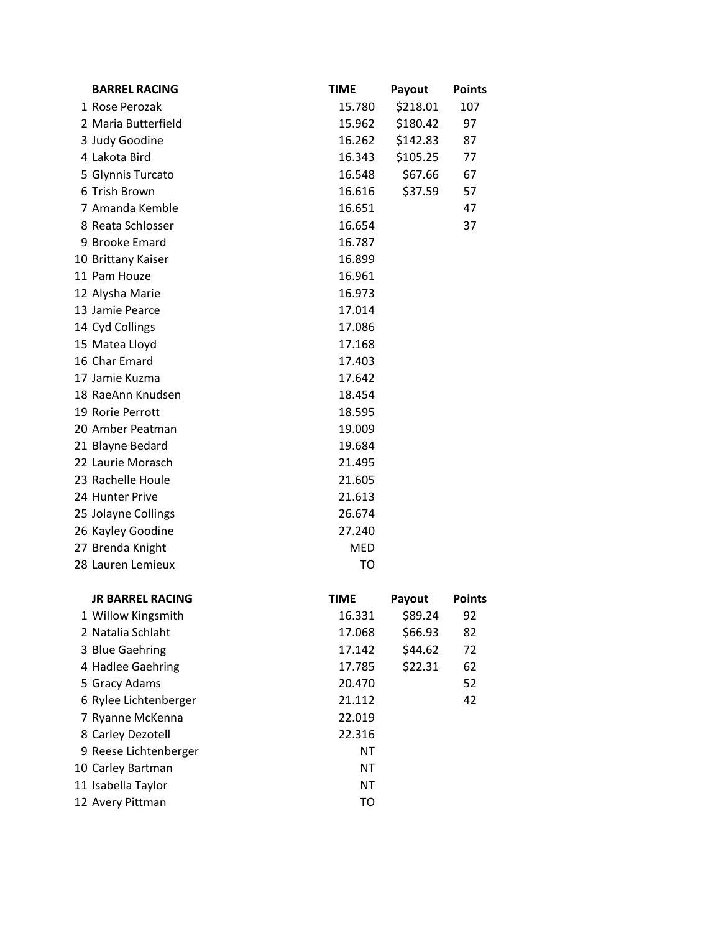| <b>BARREL RACING</b>    | <b>TIME</b> | Payout                          | <b>Points</b> |
|-------------------------|-------------|---------------------------------|---------------|
| 1 Rose Perozak          | 15.780      | \$218.01                        | 107           |
| 2 Maria Butterfield     | 15.962      | \$180.42                        | 97            |
| 3 Judy Goodine          | 16.262      | \$142.83                        | 87            |
| 4 Lakota Bird           | 16.343      | \$105.25                        | 77            |
| 5 Glynnis Turcato       | 16.548      | \$67.66                         | 67            |
| 6 Trish Brown           | 16.616      | \$37.59                         | 57            |
| 7 Amanda Kemble         | 16.651      |                                 | 47            |
| 8 Reata Schlosser       | 16.654      |                                 | 37            |
| 9 Brooke Emard          | 16.787      |                                 |               |
| 10 Brittany Kaiser      | 16.899      |                                 |               |
| 11 Pam Houze            | 16.961      |                                 |               |
| 12 Alysha Marie         | 16.973      |                                 |               |
| 13 Jamie Pearce         | 17.014      |                                 |               |
| 14 Cyd Collings         | 17.086      |                                 |               |
| 15 Matea Lloyd          | 17.168      |                                 |               |
| 16 Char Emard           | 17.403      |                                 |               |
| 17 Jamie Kuzma          | 17.642      |                                 |               |
| 18 RaeAnn Knudsen       | 18.454      |                                 |               |
| 19 Rorie Perrott        | 18.595      |                                 |               |
| 20 Amber Peatman        | 19.009      |                                 |               |
| 21 Blayne Bedard        | 19.684      |                                 |               |
| 22 Laurie Morasch       | 21.495      |                                 |               |
| 23 Rachelle Houle       | 21.605      |                                 |               |
| 24 Hunter Prive         | 21.613      |                                 |               |
| 25 Jolayne Collings     | 26.674      |                                 |               |
| 26 Kayley Goodine       | 27.240      |                                 |               |
| 27 Brenda Knight        | <b>MED</b>  |                                 |               |
| 28 Lauren Lemieux       | <b>TO</b>   |                                 |               |
| <b>JR BARREL RACING</b> | <b>TIME</b> | Payout                          | <b>Points</b> |
| 1 Willow Kingsmith      | 16.331      | \$89.24                         | 92            |
| O Nietelie Calelalet    | 1700        | $\zeta$ $\zeta$ $\zeta$ $\zeta$ | $\Omega$      |

| JK BAKKEL KALING      | <b>I IIVIE</b> | rayout  | POINTS |
|-----------------------|----------------|---------|--------|
| 1 Willow Kingsmith    | 16.331         | \$89.24 | 92     |
| 2 Natalia Schlaht     | 17.068         | \$66.93 | 82     |
| 3 Blue Gaehring       | 17.142         | \$44.62 | 72     |
| 4 Hadlee Gaehring     | 17.785         | \$22.31 | 62     |
| 5 Gracy Adams         | 20.470         |         | 52     |
| 6 Rylee Lichtenberger | 21.112         |         | 42     |
| 7 Ryanne McKenna      | 22.019         |         |        |
| 8 Carley Dezotell     | 22.316         |         |        |
| 9 Reese Lichtenberger | ΝT             |         |        |
| 10 Carley Bartman     | ΝT             |         |        |
| 11 Isabella Taylor    | ΝT             |         |        |
| 12 Avery Pittman      | то             |         |        |
|                       |                |         |        |